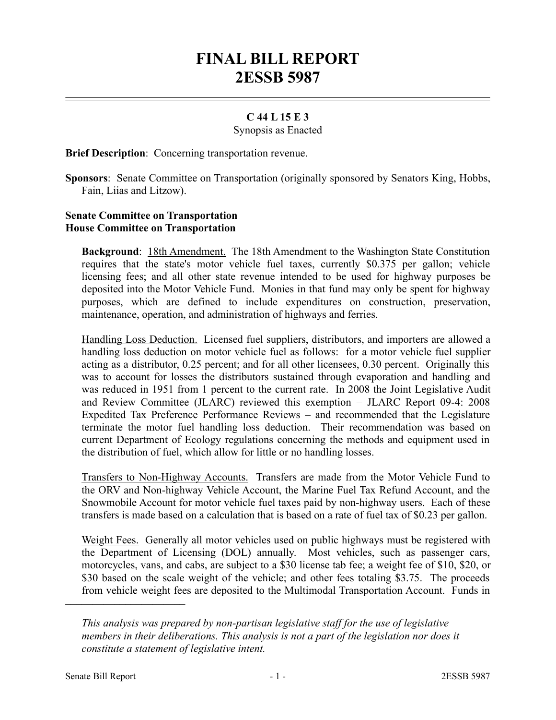# **FINAL BILL REPORT 2ESSB 5987**

## **C 44 L 15 E 3**

Synopsis as Enacted

**Brief Description**: Concerning transportation revenue.

### **Senate Committee on Transportation House Committee on Transportation**

**Background**: 18th Amendment. The 18th Amendment to the Washington State Constitution requires that the state's motor vehicle fuel taxes, currently \$0.375 per gallon; vehicle licensing fees; and all other state revenue intended to be used for highway purposes be deposited into the Motor Vehicle Fund. Monies in that fund may only be spent for highway purposes, which are defined to include expenditures on construction, preservation, maintenance, operation, and administration of highways and ferries.

Handling Loss Deduction. Licensed fuel suppliers, distributors, and importers are allowed a handling loss deduction on motor vehicle fuel as follows: for a motor vehicle fuel supplier acting as a distributor, 0.25 percent; and for all other licensees, 0.30 percent. Originally this was to account for losses the distributors sustained through evaporation and handling and was reduced in 1951 from 1 percent to the current rate. In 2008 the Joint Legislative Audit and Review Committee (JLARC) reviewed this exemption – JLARC Report 09-4: 2008 Expedited Tax Preference Performance Reviews – and recommended that the Legislature terminate the motor fuel handling loss deduction. Their recommendation was based on current Department of Ecology regulations concerning the methods and equipment used in the distribution of fuel, which allow for little or no handling losses.

Transfers to Non-Highway Accounts. Transfers are made from the Motor Vehicle Fund to the ORV and Non-highway Vehicle Account, the Marine Fuel Tax Refund Account, and the Snowmobile Account for motor vehicle fuel taxes paid by non-highway users. Each of these transfers is made based on a calculation that is based on a rate of fuel tax of \$0.23 per gallon.

Weight Fees. Generally all motor vehicles used on public highways must be registered with the Department of Licensing (DOL) annually. Most vehicles, such as passenger cars, motorcycles, vans, and cabs, are subject to a \$30 license tab fee; a weight fee of \$10, \$20, or \$30 based on the scale weight of the vehicle; and other fees totaling \$3.75. The proceeds from vehicle weight fees are deposited to the Multimodal Transportation Account. Funds in

––––––––––––––––––––––

**Sponsors**: Senate Committee on Transportation (originally sponsored by Senators King, Hobbs, Fain, Liias and Litzow).

*This analysis was prepared by non-partisan legislative staff for the use of legislative members in their deliberations. This analysis is not a part of the legislation nor does it constitute a statement of legislative intent.*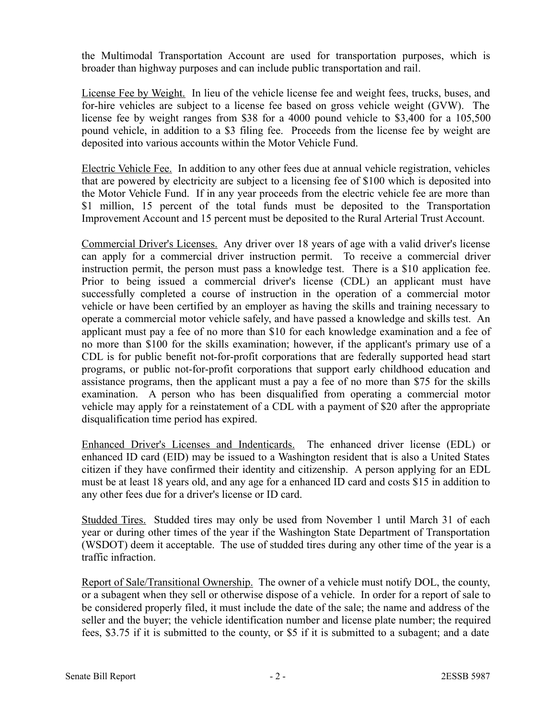the Multimodal Transportation Account are used for transportation purposes, which is broader than highway purposes and can include public transportation and rail.

License Fee by Weight. In lieu of the vehicle license fee and weight fees, trucks, buses, and for-hire vehicles are subject to a license fee based on gross vehicle weight (GVW). The license fee by weight ranges from \$38 for a 4000 pound vehicle to \$3,400 for a 105,500 pound vehicle, in addition to a \$3 filing fee. Proceeds from the license fee by weight are deposited into various accounts within the Motor Vehicle Fund.

Electric Vehicle Fee. In addition to any other fees due at annual vehicle registration, vehicles that are powered by electricity are subject to a licensing fee of \$100 which is deposited into the Motor Vehicle Fund. If in any year proceeds from the electric vehicle fee are more than \$1 million, 15 percent of the total funds must be deposited to the Transportation Improvement Account and 15 percent must be deposited to the Rural Arterial Trust Account.

Commercial Driver's Licenses. Any driver over 18 years of age with a valid driver's license can apply for a commercial driver instruction permit. To receive a commercial driver instruction permit, the person must pass a knowledge test. There is a \$10 application fee. Prior to being issued a commercial driver's license (CDL) an applicant must have successfully completed a course of instruction in the operation of a commercial motor vehicle or have been certified by an employer as having the skills and training necessary to operate a commercial motor vehicle safely, and have passed a knowledge and skills test. An applicant must pay a fee of no more than \$10 for each knowledge examination and a fee of no more than \$100 for the skills examination; however, if the applicant's primary use of a CDL is for public benefit not-for-profit corporations that are federally supported head start programs, or public not-for-profit corporations that support early childhood education and assistance programs, then the applicant must a pay a fee of no more than \$75 for the skills examination. A person who has been disqualified from operating a commercial motor vehicle may apply for a reinstatement of a CDL with a payment of \$20 after the appropriate disqualification time period has expired.

Enhanced Driver's Licenses and Indenticards. The enhanced driver license (EDL) or enhanced ID card (EID) may be issued to a Washington resident that is also a United States citizen if they have confirmed their identity and citizenship. A person applying for an EDL must be at least 18 years old, and any age for a enhanced ID card and costs \$15 in addition to any other fees due for a driver's license or ID card.

Studded Tires. Studded tires may only be used from November 1 until March 31 of each year or during other times of the year if the Washington State Department of Transportation (WSDOT) deem it acceptable. The use of studded tires during any other time of the year is a traffic infraction.

Report of Sale/Transitional Ownership. The owner of a vehicle must notify DOL, the county, or a subagent when they sell or otherwise dispose of a vehicle. In order for a report of sale to be considered properly filed, it must include the date of the sale; the name and address of the seller and the buyer; the vehicle identification number and license plate number; the required fees, \$3.75 if it is submitted to the county, or \$5 if it is submitted to a subagent; and a date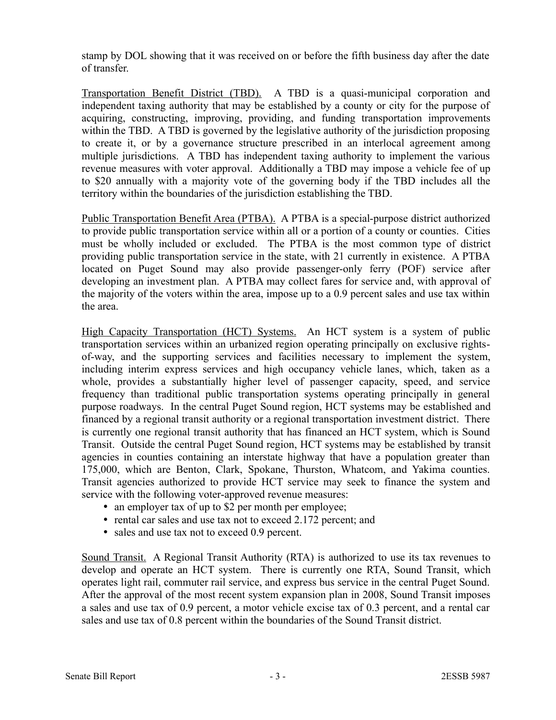stamp by DOL showing that it was received on or before the fifth business day after the date of transfer.

Transportation Benefit District (TBD). A TBD is a quasi-municipal corporation and independent taxing authority that may be established by a county or city for the purpose of acquiring, constructing, improving, providing, and funding transportation improvements within the TBD. A TBD is governed by the legislative authority of the jurisdiction proposing to create it, or by a governance structure prescribed in an interlocal agreement among multiple jurisdictions. A TBD has independent taxing authority to implement the various revenue measures with voter approval. Additionally a TBD may impose a vehicle fee of up to \$20 annually with a majority vote of the governing body if the TBD includes all the territory within the boundaries of the jurisdiction establishing the TBD.

Public Transportation Benefit Area (PTBA). A PTBA is a special-purpose district authorized to provide public transportation service within all or a portion of a county or counties. Cities must be wholly included or excluded. The PTBA is the most common type of district providing public transportation service in the state, with 21 currently in existence. A PTBA located on Puget Sound may also provide passenger-only ferry (POF) service after developing an investment plan. A PTBA may collect fares for service and, with approval of the majority of the voters within the area, impose up to a 0.9 percent sales and use tax within the area.

High Capacity Transportation (HCT) Systems. An HCT system is a system of public transportation services within an urbanized region operating principally on exclusive rightsof-way, and the supporting services and facilities necessary to implement the system, including interim express services and high occupancy vehicle lanes, which, taken as a whole, provides a substantially higher level of passenger capacity, speed, and service frequency than traditional public transportation systems operating principally in general purpose roadways. In the central Puget Sound region, HCT systems may be established and financed by a regional transit authority or a regional transportation investment district. There is currently one regional transit authority that has financed an HCT system, which is Sound Transit. Outside the central Puget Sound region, HCT systems may be established by transit agencies in counties containing an interstate highway that have a population greater than 175,000, which are Benton, Clark, Spokane, Thurston, Whatcom, and Yakima counties. Transit agencies authorized to provide HCT service may seek to finance the system and service with the following voter-approved revenue measures:

- an employer tax of up to \$2 per month per employee;
- rental car sales and use tax not to exceed 2.172 percent; and
- sales and use tax not to exceed 0.9 percent.

Sound Transit. A Regional Transit Authority (RTA) is authorized to use its tax revenues to develop and operate an HCT system. There is currently one RTA, Sound Transit, which operates light rail, commuter rail service, and express bus service in the central Puget Sound. After the approval of the most recent system expansion plan in 2008, Sound Transit imposes a sales and use tax of 0.9 percent, a motor vehicle excise tax of 0.3 percent, and a rental car sales and use tax of 0.8 percent within the boundaries of the Sound Transit district.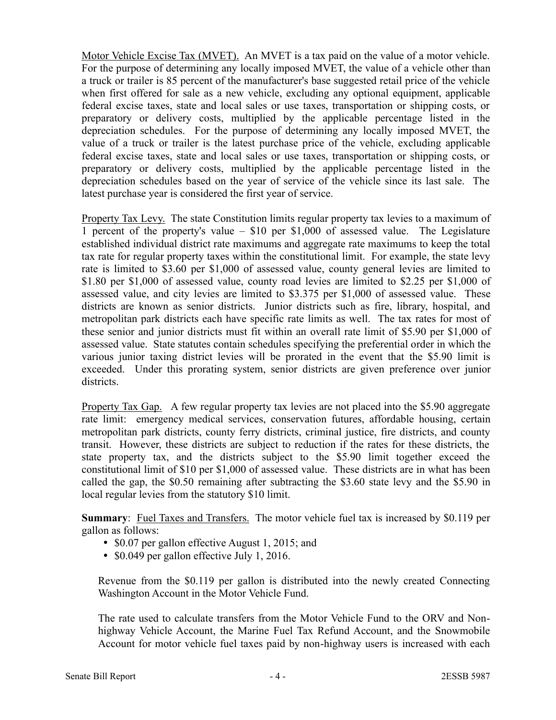Motor Vehicle Excise Tax (MVET). An MVET is a tax paid on the value of a motor vehicle. For the purpose of determining any locally imposed MVET, the value of a vehicle other than a truck or trailer is 85 percent of the manufacturer's base suggested retail price of the vehicle when first offered for sale as a new vehicle, excluding any optional equipment, applicable federal excise taxes, state and local sales or use taxes, transportation or shipping costs, or preparatory or delivery costs, multiplied by the applicable percentage listed in the depreciation schedules. For the purpose of determining any locally imposed MVET, the value of a truck or trailer is the latest purchase price of the vehicle, excluding applicable federal excise taxes, state and local sales or use taxes, transportation or shipping costs, or preparatory or delivery costs, multiplied by the applicable percentage listed in the depreciation schedules based on the year of service of the vehicle since its last sale. The latest purchase year is considered the first year of service.

Property Tax Levy. The state Constitution limits regular property tax levies to a maximum of 1 percent of the property's value – \$10 per \$1,000 of assessed value. The Legislature established individual district rate maximums and aggregate rate maximums to keep the total tax rate for regular property taxes within the constitutional limit. For example, the state levy rate is limited to \$3.60 per \$1,000 of assessed value, county general levies are limited to \$1.80 per \$1,000 of assessed value, county road levies are limited to \$2.25 per \$1,000 of assessed value, and city levies are limited to \$3.375 per \$1,000 of assessed value. These districts are known as senior districts. Junior districts such as fire, library, hospital, and metropolitan park districts each have specific rate limits as well. The tax rates for most of these senior and junior districts must fit within an overall rate limit of \$5.90 per \$1,000 of assessed value. State statutes contain schedules specifying the preferential order in which the various junior taxing district levies will be prorated in the event that the \$5.90 limit is exceeded. Under this prorating system, senior districts are given preference over junior districts.

Property Tax Gap. A few regular property tax levies are not placed into the \$5.90 aggregate rate limit: emergency medical services, conservation futures, affordable housing, certain metropolitan park districts, county ferry districts, criminal justice, fire districts, and county transit. However, these districts are subject to reduction if the rates for these districts, the state property tax, and the districts subject to the \$5.90 limit together exceed the constitutional limit of \$10 per \$1,000 of assessed value. These districts are in what has been called the gap, the \$0.50 remaining after subtracting the \$3.60 state levy and the \$5.90 in local regular levies from the statutory \$10 limit.

**Summary:** Fuel Taxes and Transfers. The motor vehicle fuel tax is increased by \$0.119 per gallon as follows:

- \$0.07 per gallon effective August 1, 2015; and
- $\bullet$  \$0.049 per gallon effective July 1, 2016.

Revenue from the \$0.119 per gallon is distributed into the newly created Connecting Washington Account in the Motor Vehicle Fund.

The rate used to calculate transfers from the Motor Vehicle Fund to the ORV and Nonhighway Vehicle Account, the Marine Fuel Tax Refund Account, and the Snowmobile Account for motor vehicle fuel taxes paid by non-highway users is increased with each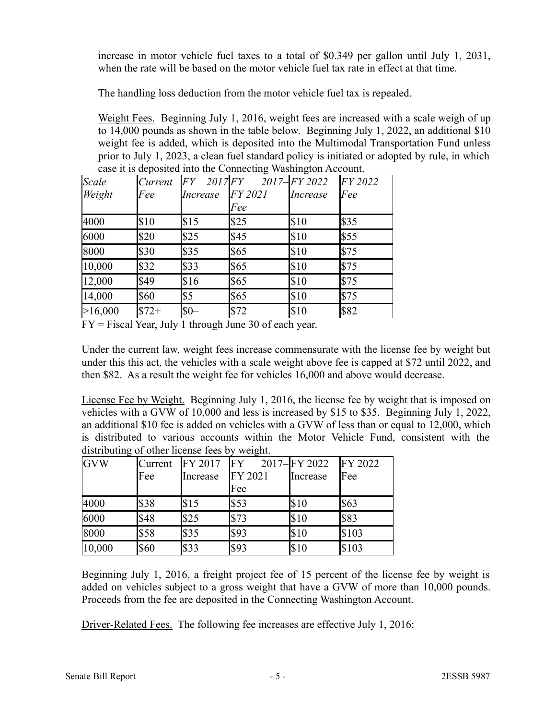increase in motor vehicle fuel taxes to a total of \$0.349 per gallon until July 1, 2031, when the rate will be based on the motor vehicle fuel tax rate in effect at that time.

The handling loss deduction from the motor vehicle fuel tax is repealed.

Weight Fees. Beginning July 1, 2016, weight fees are increased with a scale weigh of up to 14,000 pounds as shown in the table below. Beginning July 1, 2022, an additional \$10 weight fee is added, which is deposited into the Multimodal Transportation Fund unless prior to July 1, 2023, a clean fuel standard policy is initiated or adopted by rule, in which case it is deposited into the Connecting Washington Account.

| Scale   | <i>Current</i> | FY                | $2017$ $FY$ | $2017$ - $FY$ 2022 | $FY$ 2022    |
|---------|----------------|-------------------|-------------|--------------------|--------------|
| Weight  | Fee            | <i>Increase</i>   | $FY$ 2021   | <i>Increase</i>    | Fee          |
|         |                |                   | Fee         |                    |              |
| 4000    | \$10           | $\sqrt{315}$      | \$25        | S10                | <b>S</b> 35  |
| 6000    | \$20           | \$25              | \$45        | $\sqrt{310}$       | <b>S55</b>   |
| 8000    | \$30           | \$35              | \$65        | $\sqrt{310}$       | S75          |
| 10,000  | $\sqrt{32}$    | \$33              | \$65        | $\sqrt{310}$       | S75          |
| 12,000  | \$49           | \$16              | \$65        | \$10               | $\sqrt{575}$ |
| 14,000  | \$60           | \$5               | \$65        | $\sqrt{310}$       | S75          |
| >16,000 | $$72+$         | $\mathbb{S}^{0-}$ | \$72        | $\frac{1}{2}$      | S82          |

FY = Fiscal Year, July 1 through June 30 of each year.

Under the current law, weight fees increase commensurate with the license fee by weight but under this this act, the vehicles with a scale weight above fee is capped at \$72 until 2022, and then \$82. As a result the weight fee for vehicles 16,000 and above would decrease.

License Fee by Weight. Beginning July 1, 2016, the license fee by weight that is imposed on vehicles with a GVW of 10,000 and less is increased by \$15 to \$35. Beginning July 1, 2022, an additional \$10 fee is added on vehicles with a GVW of less than or equal to 12,000, which is distributed to various accounts within the Motor Vehicle Fund, consistent with the distributing of other license fees by weight.

| <b>GVW</b> | <b>Current</b> | <b>FY 2017</b> | IFY            | 2017-FY 2022 | FY 2022 |
|------------|----------------|----------------|----------------|--------------|---------|
|            | Fee            | Increase       | <b>FY 2021</b> | Increase     | Fee     |
|            |                |                | Fee            |              |         |
| 4000       | \$38           | \$15           | l\$53          | \$10         | \$63    |
| 6000       | \$48           | \$25           | \$73           | \$10         | \$83    |
| 8000       | \$58           | \$35           | S93            | \$10         | \$103   |
| 10,000     | \$60           | \$33           | S93            | \$10         | \$103   |

Beginning July 1, 2016, a freight project fee of 15 percent of the license fee by weight is added on vehicles subject to a gross weight that have a GVW of more than 10,000 pounds. Proceeds from the fee are deposited in the Connecting Washington Account.

Driver-Related Fees. The following fee increases are effective July 1, 2016: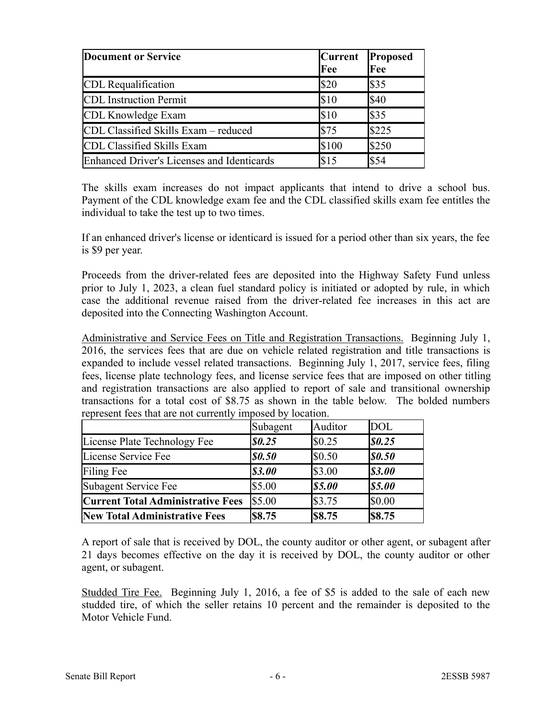| Document or Service                        | <b>Current</b><br>Fee | <b>Proposed</b><br>Fee |
|--------------------------------------------|-----------------------|------------------------|
| CDL Requalification                        | \$20                  | S35                    |
| <b>CDL</b> Instruction Permit              | l\$10                 | <b>S40</b>             |
| CDL Knowledge Exam                         | \$10                  | $\frac{1}{3}$          |
| CDL Classified Skills Exam - reduced       | l\$75                 | $\frac{1}{225}$        |
| CDL Classified Skills Exam                 | \$100                 | \$250                  |
| Enhanced Driver's Licenses and Identicards | \$15                  | $\frac{$54}$           |

The skills exam increases do not impact applicants that intend to drive a school bus. Payment of the CDL knowledge exam fee and the CDL classified skills exam fee entitles the individual to take the test up to two times.

If an enhanced driver's license or identicard is issued for a period other than six years, the fee is \$9 per year.

Proceeds from the driver-related fees are deposited into the Highway Safety Fund unless prior to July 1, 2023, a clean fuel standard policy is initiated or adopted by rule, in which case the additional revenue raised from the driver-related fee increases in this act are deposited into the Connecting Washington Account.

Administrative and Service Fees on Title and Registration Transactions. Beginning July 1, 2016, the services fees that are due on vehicle related registration and title transactions is expanded to include vessel related transactions. Beginning July 1, 2017, service fees, filing fees, license plate technology fees, and license service fees that are imposed on other titling and registration transactions are also applied to report of sale and transitional ownership transactions for a total cost of \$8.75 as shown in the table below. The bolded numbers represent fees that are not currently imposed by location.

|                                          | Subagent                      | Auditor           | DOL                           |
|------------------------------------------|-------------------------------|-------------------|-------------------------------|
| License Plate Technology Fee             | $\boldsymbol{\mathsf{S0.25}}$ | $\$\,0.25$        | 80.25                         |
| License Service Fee                      | <b>SO.50</b>                  | $\$\,0.50$        | $\boldsymbol{\mathit{S0.50}}$ |
| Filing Fee                               | \$3.00                        | \$3.00            | <i><b>\$3.00</b></i>          |
| Subagent Service Fee                     | \$5.00                        | <b>S5.00</b>      | $\boldsymbol{\mathsf{S5.00}}$ |
| <b>Current Total Administrative Fees</b> | \$5.00                        | $\frac{1}{3}3.75$ | $\$\,0.00$                    |
| <b>New Total Administrative Fees</b>     | <b>S8.75</b>                  | <b>S8.75</b>      | $ $ \$8.75                    |

A report of sale that is received by DOL, the county auditor or other agent, or subagent after 21 days becomes effective on the day it is received by DOL, the county auditor or other agent, or subagent.

Studded Tire Fee. Beginning July 1, 2016, a fee of \$5 is added to the sale of each new studded tire, of which the seller retains 10 percent and the remainder is deposited to the Motor Vehicle Fund.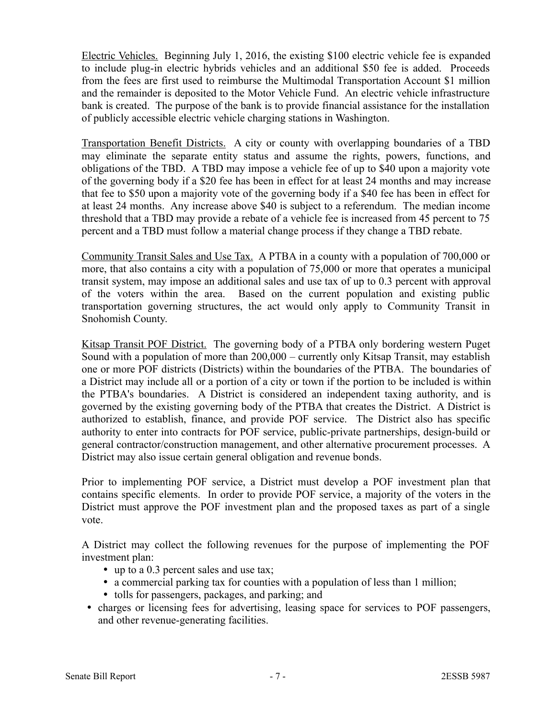Electric Vehicles. Beginning July 1, 2016, the existing \$100 electric vehicle fee is expanded to include plug-in electric hybrids vehicles and an additional \$50 fee is added. Proceeds from the fees are first used to reimburse the Multimodal Transportation Account \$1 million and the remainder is deposited to the Motor Vehicle Fund. An electric vehicle infrastructure bank is created. The purpose of the bank is to provide financial assistance for the installation of publicly accessible electric vehicle charging stations in Washington.

Transportation Benefit Districts. A city or county with overlapping boundaries of a TBD may eliminate the separate entity status and assume the rights, powers, functions, and obligations of the TBD. A TBD may impose a vehicle fee of up to \$40 upon a majority vote of the governing body if a \$20 fee has been in effect for at least 24 months and may increase that fee to \$50 upon a majority vote of the governing body if a \$40 fee has been in effect for at least 24 months. Any increase above \$40 is subject to a referendum. The median income threshold that a TBD may provide a rebate of a vehicle fee is increased from 45 percent to 75 percent and a TBD must follow a material change process if they change a TBD rebate.

Community Transit Sales and Use Tax. A PTBA in a county with a population of 700,000 or more, that also contains a city with a population of 75,000 or more that operates a municipal transit system, may impose an additional sales and use tax of up to 0.3 percent with approval of the voters within the area. Based on the current population and existing public transportation governing structures, the act would only apply to Community Transit in Snohomish County.

Kitsap Transit POF District. The governing body of a PTBA only bordering western Puget Sound with a population of more than 200,000 – currently only Kitsap Transit, may establish one or more POF districts (Districts) within the boundaries of the PTBA. The boundaries of a District may include all or a portion of a city or town if the portion to be included is within the PTBA's boundaries. A District is considered an independent taxing authority, and is governed by the existing governing body of the PTBA that creates the District. A District is authorized to establish, finance, and provide POF service. The District also has specific authority to enter into contracts for POF service, public-private partnerships, design-build or general contractor/construction management, and other alternative procurement processes. A District may also issue certain general obligation and revenue bonds.

Prior to implementing POF service, a District must develop a POF investment plan that contains specific elements. In order to provide POF service, a majority of the voters in the District must approve the POF investment plan and the proposed taxes as part of a single vote.

A District may collect the following revenues for the purpose of implementing the POF investment plan:

- up to a 0.3 percent sales and use tax;
- a commercial parking tax for counties with a population of less than 1 million;
- tolls for passengers, packages, and parking; and
- charges or licensing fees for advertising, leasing space for services to POF passengers, and other revenue-generating facilities.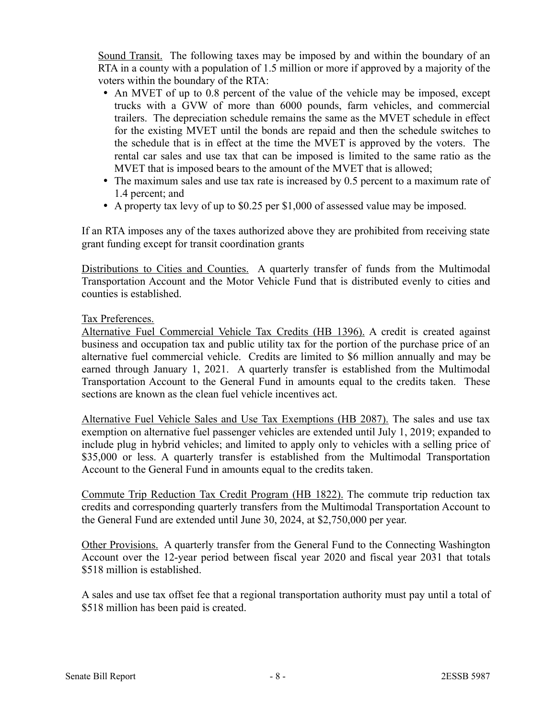Sound Transit. The following taxes may be imposed by and within the boundary of an RTA in a county with a population of 1.5 million or more if approved by a majority of the voters within the boundary of the RTA:

- An MVET of up to 0.8 percent of the value of the vehicle may be imposed, except trucks with a GVW of more than 6000 pounds, farm vehicles, and commercial trailers. The depreciation schedule remains the same as the MVET schedule in effect for the existing MVET until the bonds are repaid and then the schedule switches to the schedule that is in effect at the time the MVET is approved by the voters. The rental car sales and use tax that can be imposed is limited to the same ratio as the MVET that is imposed bears to the amount of the MVET that is allowed;
- The maximum sales and use tax rate is increased by 0.5 percent to a maximum rate of 1.4 percent; and
- A property tax levy of up to \$0.25 per \$1,000 of assessed value may be imposed.

If an RTA imposes any of the taxes authorized above they are prohibited from receiving state grant funding except for transit coordination grants

Distributions to Cities and Counties. A quarterly transfer of funds from the Multimodal Transportation Account and the Motor Vehicle Fund that is distributed evenly to cities and counties is established.

### Tax Preferences.

Alternative Fuel Commercial Vehicle Tax Credits (HB 1396). A credit is created against business and occupation tax and public utility tax for the portion of the purchase price of an alternative fuel commercial vehicle. Credits are limited to \$6 million annually and may be earned through January 1, 2021. A quarterly transfer is established from the Multimodal Transportation Account to the General Fund in amounts equal to the credits taken. These sections are known as the clean fuel vehicle incentives act.

Alternative Fuel Vehicle Sales and Use Tax Exemptions (HB 2087). The sales and use tax exemption on alternative fuel passenger vehicles are extended until July 1, 2019; expanded to include plug in hybrid vehicles; and limited to apply only to vehicles with a selling price of \$35,000 or less. A quarterly transfer is established from the Multimodal Transportation Account to the General Fund in amounts equal to the credits taken.

Commute Trip Reduction Tax Credit Program (HB 1822). The commute trip reduction tax credits and corresponding quarterly transfers from the Multimodal Transportation Account to the General Fund are extended until June 30, 2024, at \$2,750,000 per year.

Other Provisions. A quarterly transfer from the General Fund to the Connecting Washington Account over the 12-year period between fiscal year 2020 and fiscal year 2031 that totals \$518 million is established.

A sales and use tax offset fee that a regional transportation authority must pay until a total of \$518 million has been paid is created.